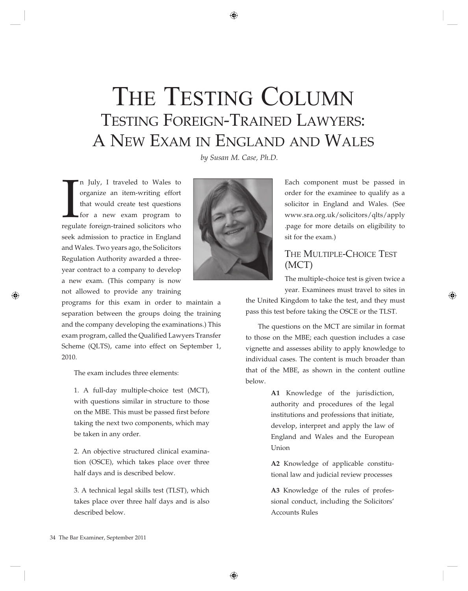# THE TESTING COLUMN TESTING FOREIGN-TRAINED LAWYERS: a new exam in engLanD anD waLes

*by Susan M. Case, Ph.D.*

In July, I traveled to Wales to organize an item-writing effort that would create test questions for a new exam program to regulate foreign-trained solicitors who n July, I traveled to Wales to organize an item-writing effort that would create test questions for a new exam program to seek admission to practice in England and Wales. Two years ago, the Solicitors Regulation Authority awarded a threeyear contract to a company to develop a new exam. (This company is now not allowed to provide any training

programs for this exam in order to maintain a separation between the groups doing the training and the company developing the examinations.) This exam program, called the Qualified Lawyers Transfer Scheme (QLTS), came into effect on September 1, 2010.

The exam includes three elements:

1. A full-day multiple-choice test (MCT), with questions similar in structure to those on the MBE. This must be passed first before taking the next two components, which may be taken in any order.

2. An objective structured clinical examination (OSCE), which takes place over three half days and is described below.

3. A technical legal skills test (TLST), which takes place over three half days and is also described below.



Each component must be passed in order for the examinee to qualify as a solicitor in England and Wales. (See www.sra.org.uk/solicitors/qlts/apply .page for more details on eligibility to sit for the exam.)

# THE MULTIPLE-CHOICE TEST  $(MCT)$

The multiple-choice test is given twice a

year. Examinees must travel to sites in the United Kingdom to take the test, and they must pass this test before taking the OSCE or the TLST.

The questions on the MCT are similar in format to those on the MBE; each question includes a case vignette and assesses ability to apply knowledge to individual cases. The content is much broader than that of the MBE, as shown in the content outline below.

> **A1** Knowledge of the jurisdiction, authority and procedures of the legal institutions and professions that initiate, develop, interpret and apply the law of England and Wales and the European Union

> **A2** Knowledge of applicable constitutional law and judicial review processes

> **A3** Knowledge of the rules of professional conduct, including the Solicitors' Accounts Rules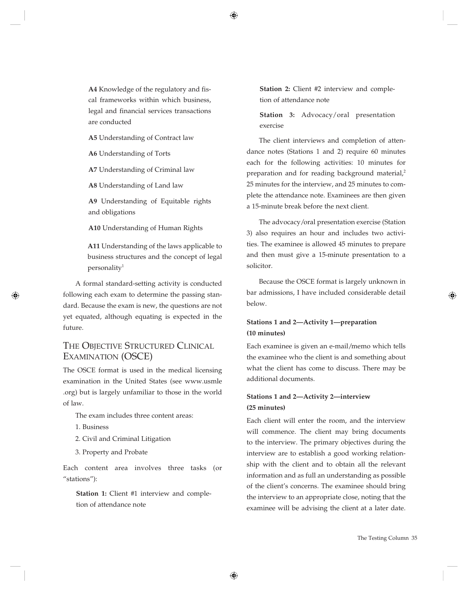**A4** Knowledge of the regulatory and fiscal frameworks within which business, legal and financial services transactions are conducted

**A5** Understanding of Contract law

**A6** Understanding of Torts

**A7** Understanding of Criminal law

**A8** Understanding of Land law

**A9** Understanding of Equitable rights and obligations

**A10** Understanding of Human Rights

**A11** Understanding of the laws applicable to business structures and the concept of legal  $personality<sup>1</sup>$ 

A formal standard-setting activity is conducted following each exam to determine the passing standard. Because the exam is new, the questions are not yet equated, although equating is expected in the future.

# THE OBJECTIVE STRUCTURED CLINICAL EXAMINATION (OSCE)

The OSCE format is used in the medical licensing examination in the United States (see www.usmle .org) but is largely unfamiliar to those in the world of law.

The exam includes three content areas:

- 1. Business
- 2. Civil and Criminal Litigation
- 3. Property and Probate

Each content area involves three tasks (or "stations"):

**Station 1:** Client #1 interview and completion of attendance note

**Station 2:** Client #2 interview and completion of attendance note

**Station 3:** Advocacy/oral presentation exercise

The client interviews and completion of attendance notes (Stations 1 and 2) require 60 minutes each for the following activities: 10 minutes for preparation and for reading background material,<sup>2</sup> 25 minutes for the interview, and 25 minutes to complete the attendance note. Examinees are then given a 15-minute break before the next client.

The advocacy/oral presentation exercise (Station 3) also requires an hour and includes two activities. The examinee is allowed 45 minutes to prepare and then must give a 15-minute presentation to a solicitor.

Because the OSCE format is largely unknown in bar admissions, I have included considerable detail below.

# **Stations 1 and 2—Activity 1—preparation (10 minutes)**

Each examinee is given an e-mail/memo which tells the examinee who the client is and something about what the client has come to discuss. There may be additional documents.

# **Stations 1 and 2—Activity 2—interview (25 minutes)**

Each client will enter the room, and the interview will commence. The client may bring documents to the interview. The primary objectives during the interview are to establish a good working relationship with the client and to obtain all the relevant information and as full an understanding as possible of the client's concerns. The examinee should bring the interview to an appropriate close, noting that the examinee will be advising the client at a later date.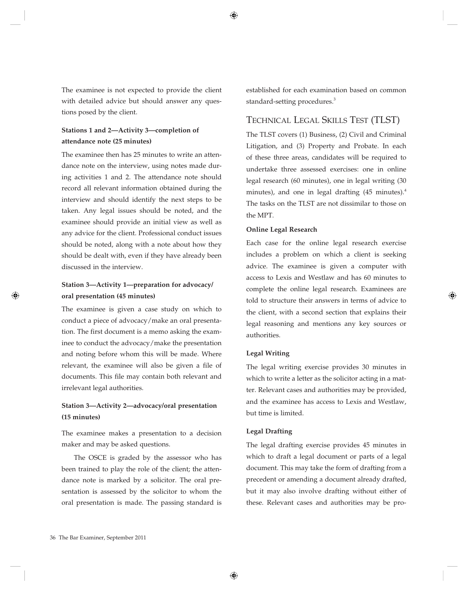The examinee is not expected to provide the client with detailed advice but should answer any questions posed by the client.

## **Stations 1 and 2—Activity 3—completion of attendance note (25 minutes)**

The examinee then has 25 minutes to write an attendance note on the interview, using notes made during activities 1 and 2. The attendance note should record all relevant information obtained during the interview and should identify the next steps to be taken. Any legal issues should be noted, and the examinee should provide an initial view as well as any advice for the client. Professional conduct issues should be noted, along with a note about how they should be dealt with, even if they have already been discussed in the interview.

# **Station 3—Activity 1—preparation for advocacy/ oral presentation (45 minutes)**

The examinee is given a case study on which to conduct a piece of advocacy/make an oral presentation. The first document is a memo asking the examinee to conduct the advocacy/make the presentation and noting before whom this will be made. Where relevant, the examinee will also be given a file of documents. This file may contain both relevant and irrelevant legal authorities.

# **Station 3—Activity 2—advocacy/oral presentation (15 minutes)**

The examinee makes a presentation to a decision maker and may be asked questions.

The OSCE is graded by the assessor who has been trained to play the role of the client; the attendance note is marked by a solicitor. The oral presentation is assessed by the solicitor to whom the oral presentation is made. The passing standard is established for each examination based on common standard-setting procedures.<sup>3</sup>

# TECHNICAL LEGAL SKILLS TEST (TLST)

The TLST covers (1) Business, (2) Civil and Criminal Litigation, and (3) Property and Probate. In each of these three areas, candidates will be required to undertake three assessed exercises: one in online legal research (60 minutes), one in legal writing (30 minutes), and one in legal drafting  $(45 \text{ minutes})$ .<sup>4</sup> The tasks on the TLST are not dissimilar to those on the MPT.

#### **Online Legal Research**

Each case for the online legal research exercise includes a problem on which a client is seeking advice. The examinee is given a computer with access to Lexis and Westlaw and has 60 minutes to complete the online legal research. Examinees are told to structure their answers in terms of advice to the client, with a second section that explains their legal reasoning and mentions any key sources or authorities.

### **Legal Writing**

The legal writing exercise provides 30 minutes in which to write a letter as the solicitor acting in a matter. Relevant cases and authorities may be provided, and the examinee has access to Lexis and Westlaw, but time is limited.

#### **Legal Drafting**

The legal drafting exercise provides 45 minutes in which to draft a legal document or parts of a legal document. This may take the form of drafting from a precedent or amending a document already drafted, but it may also involve drafting without either of these. Relevant cases and authorities may be pro